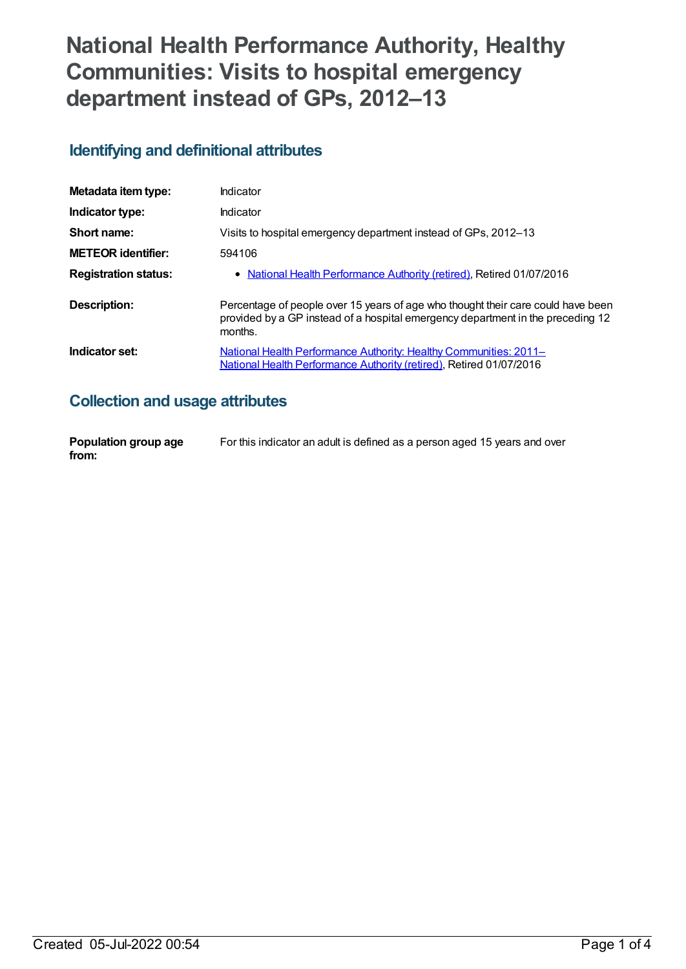# **National Health Performance Authority, Healthy Communities: Visits to hospital emergency department instead of GPs, 2012–13**

#### **Identifying and definitional attributes**

| Metadata item type:         | Indicator                                                                                                                                                                      |
|-----------------------------|--------------------------------------------------------------------------------------------------------------------------------------------------------------------------------|
| Indicator type:             | Indicator                                                                                                                                                                      |
| Short name:                 | Visits to hospital emergency department instead of GPs, 2012-13                                                                                                                |
| <b>METEOR</b> identifier:   | 594106                                                                                                                                                                         |
| <b>Registration status:</b> | • National Health Performance Authority (retired), Retired 01/07/2016                                                                                                          |
| Description:                | Percentage of people over 15 years of age who thought their care could have been<br>provided by a GP instead of a hospital emergency department in the preceding 12<br>months. |
| Indicator set:              | <b>National Health Performance Authority: Healthy Communities: 2011–</b><br>National Health Performance Authority (retired), Retired 01/07/2016                                |

### **Collection and usage attributes**

| Population group age | For this indicator an adult is defined as a person aged 15 years and over |
|----------------------|---------------------------------------------------------------------------|
| from:                |                                                                           |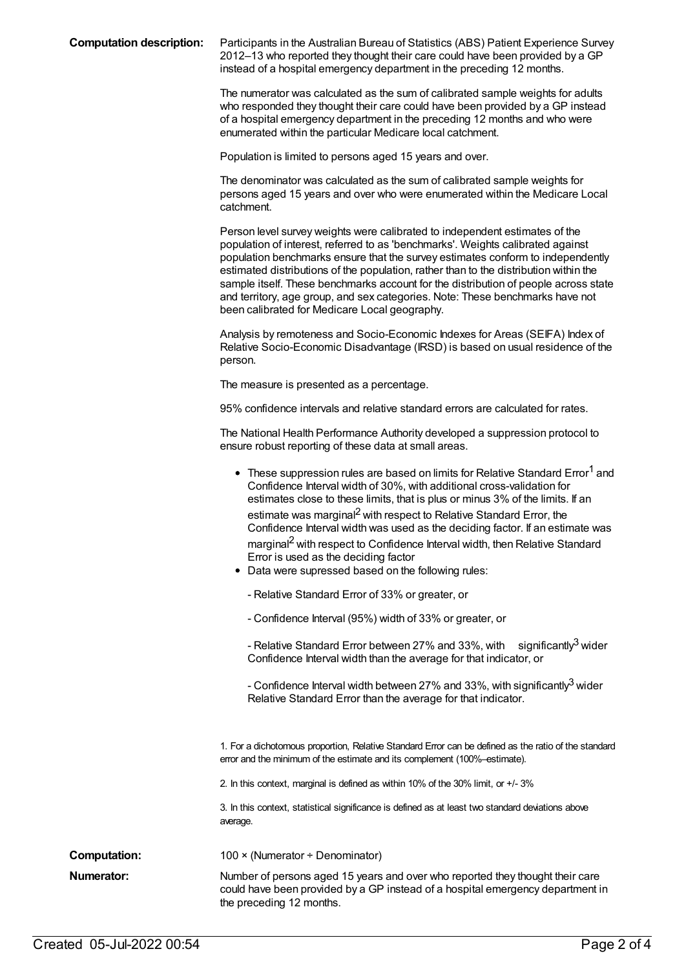**Computation description:** Participants in the Australian Bureau of Statistics (ABS) Patient Experience Survey 2012–13 who reported they thought their care could have been provided by a GP instead of a hospital emergency department in the preceding 12 months.

> The numerator was calculated as the sum of calibrated sample weights for adults who responded they thought their care could have been provided by a GP instead of a hospital emergency department in the preceding 12 months and who were enumerated within the particular Medicare local catchment.

Population is limited to persons aged 15 years and over.

The denominator was calculated as the sum of calibrated sample weights for persons aged 15 years and over who were enumerated within the Medicare Local catchment.

Person level survey weights were calibrated to independent estimates of the population of interest, referred to as 'benchmarks'. Weights calibrated against population benchmarks ensure that the survey estimates conform to independently estimated distributions of the population, rather than to the distribution within the sample itself. These benchmarks account for the distribution of people across state and territory, age group, and sex categories. Note: These benchmarks have not been calibrated for Medicare Local geography.

Analysis by remoteness and Socio-Economic Indexes for Areas (SEIFA) Index of Relative Socio-Economic Disadvantage (IRSD) is based on usual residence of the person.

The measure is presented as a percentage.

95% confidence intervals and relative standard errors are calculated for rates.

The National Health Performance Authority developed a suppression protocol to ensure robust reporting of these data at small areas.

|                     | • These suppression rules are based on limits for Relative Standard Error <sup>1</sup> and<br>Confidence Interval width of 30%, with additional cross-validation for<br>estimates close to these limits, that is plus or minus 3% of the limits. If an<br>estimate was marginal <sup>2</sup> with respect to Relative Standard Error, the<br>Confidence Interval width was used as the deciding factor. If an estimate was<br>marginal <sup>2</sup> with respect to Confidence Interval width, then Relative Standard<br>Error is used as the deciding factor<br>• Data were supressed based on the following rules:<br>- Relative Standard Error of 33% or greater, or<br>- Confidence Interval (95%) width of 33% or greater, or<br>significantly <sup>3</sup> wider<br>- Relative Standard Error between 27% and 33%, with<br>Confidence Interval width than the average for that indicator, or<br>- Confidence Interval width between 27% and 33%, with significantly <sup>3</sup> wider<br>Relative Standard Error than the average for that indicator. |
|---------------------|--------------------------------------------------------------------------------------------------------------------------------------------------------------------------------------------------------------------------------------------------------------------------------------------------------------------------------------------------------------------------------------------------------------------------------------------------------------------------------------------------------------------------------------------------------------------------------------------------------------------------------------------------------------------------------------------------------------------------------------------------------------------------------------------------------------------------------------------------------------------------------------------------------------------------------------------------------------------------------------------------------------------------------------------------------------|
|                     |                                                                                                                                                                                                                                                                                                                                                                                                                                                                                                                                                                                                                                                                                                                                                                                                                                                                                                                                                                                                                                                              |
|                     | 1. For a dichotomous proportion, Relative Standard Error can be defined as the ratio of the standard<br>error and the minimum of the estimate and its complement (100%-estimate).                                                                                                                                                                                                                                                                                                                                                                                                                                                                                                                                                                                                                                                                                                                                                                                                                                                                            |
|                     | 2. In this context, marginal is defined as within 10% of the 30% limit, or +/- 3%                                                                                                                                                                                                                                                                                                                                                                                                                                                                                                                                                                                                                                                                                                                                                                                                                                                                                                                                                                            |
|                     | 3. In this context, statistical significance is defined as at least two standard deviations above<br>average.                                                                                                                                                                                                                                                                                                                                                                                                                                                                                                                                                                                                                                                                                                                                                                                                                                                                                                                                                |
| <b>Computation:</b> | 100 × (Numerator ÷ Denominator)                                                                                                                                                                                                                                                                                                                                                                                                                                                                                                                                                                                                                                                                                                                                                                                                                                                                                                                                                                                                                              |
| Numerator:          | Number of persons aged 15 years and over who reported they thought their care<br>could have been provided by a GP instead of a hospital emergency department in<br>the preceding 12 months.                                                                                                                                                                                                                                                                                                                                                                                                                                                                                                                                                                                                                                                                                                                                                                                                                                                                  |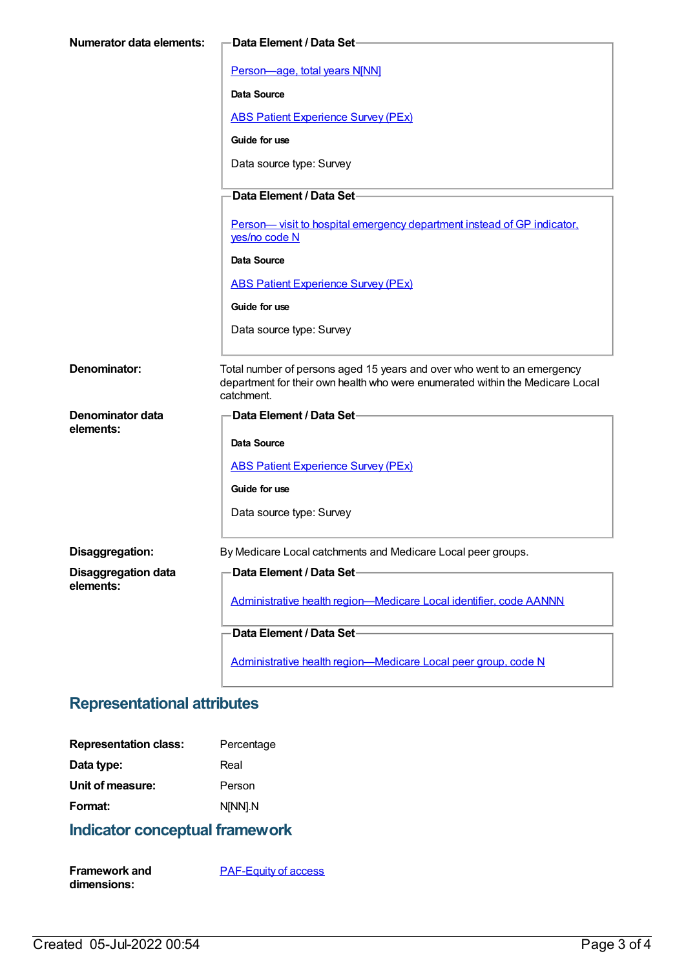| <b>Numerator data elements:</b> | <b>Data Element / Data Set-</b>                                                                                                                                        |
|---------------------------------|------------------------------------------------------------------------------------------------------------------------------------------------------------------------|
|                                 | Person-age, total years N[NN]                                                                                                                                          |
|                                 | Data Source                                                                                                                                                            |
|                                 | <b>ABS Patient Experience Survey (PEx)</b>                                                                                                                             |
|                                 | Guide for use                                                                                                                                                          |
|                                 | Data source type: Survey                                                                                                                                               |
|                                 | Data Element / Data Set-                                                                                                                                               |
|                                 | Person— visit to hospital emergency department instead of GP indicator,<br>yes/no code N                                                                               |
|                                 | <b>Data Source</b>                                                                                                                                                     |
|                                 | <b>ABS Patient Experience Survey (PEx)</b>                                                                                                                             |
|                                 | Guide for use                                                                                                                                                          |
|                                 | Data source type: Survey                                                                                                                                               |
| Denominator:                    | Total number of persons aged 15 years and over who went to an emergency<br>department for their own health who were enumerated within the Medicare Local<br>catchment. |
| Denominator data                | <b>Data Element / Data Set-</b>                                                                                                                                        |
| elements:                       | Data Source                                                                                                                                                            |
|                                 | <b>ABS Patient Experience Survey (PEx)</b>                                                                                                                             |
|                                 | Guide for use                                                                                                                                                          |
|                                 | Data source type: Survey                                                                                                                                               |
| Disaggregation:                 | By Medicare Local catchments and Medicare Local peer groups.                                                                                                           |
| <b>Disaggregation data</b>      | Data Element / Data Set-                                                                                                                                               |
| elements:                       | Administrative health region-Medicare Local identifier, code AANNN                                                                                                     |
|                                 | Data Element / Data Set-                                                                                                                                               |
|                                 |                                                                                                                                                                        |
|                                 | Administrative health region-Medicare Local peer group, code N                                                                                                         |

## **Representational attributes**

| <b>Representation class:</b> | Percentage |
|------------------------------|------------|
| Data type:                   | Real       |
| Unit of measure:             | Person     |
| Format:                      | N[NN].N    |

## **Indicator conceptual framework**

| <b>Framework and</b> | <b>PAF-Equity of access</b> |
|----------------------|-----------------------------|
| dimensions:          |                             |